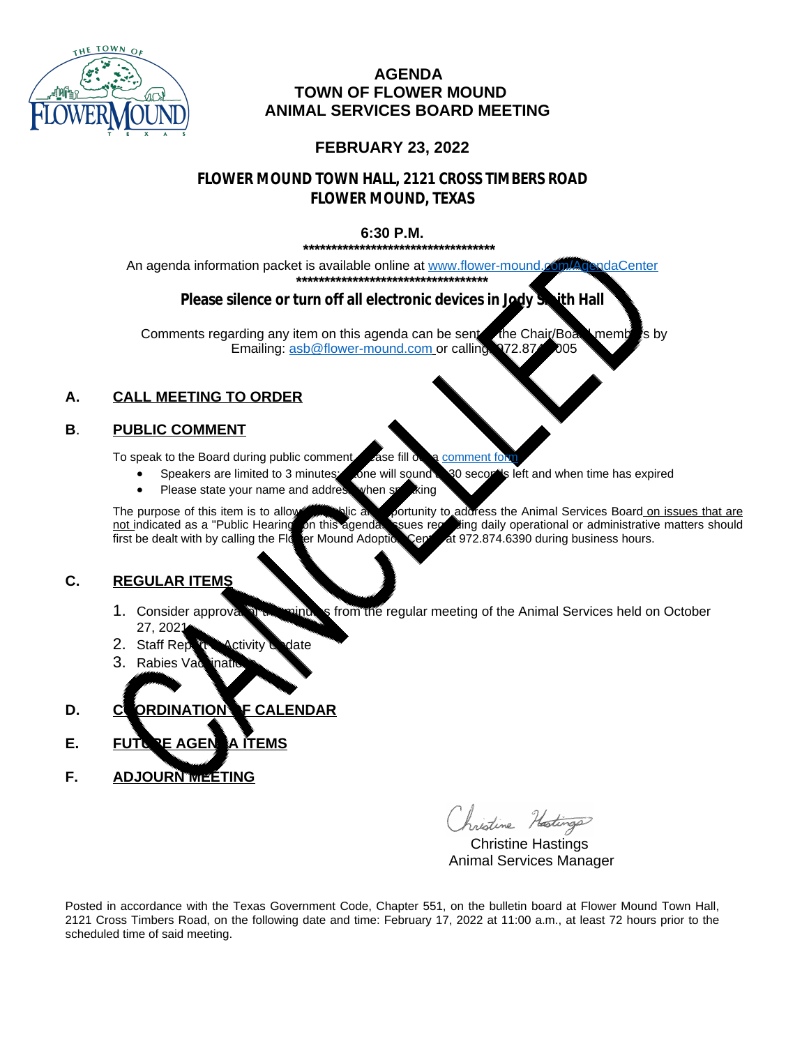

#### **AGENDA TOWN OF FLOWER MOUND ANIMAL SERVICES BOARD MEETING**

#### **FEBRUARY 23, 2022**

## **FLOWER MOUND TOWN HALL, 2121 CROSS TIMBERS ROAD FLOWER MOUND, TEXAS**

#### **6:30 P.M.**

**\*\*\*\*\*\*\*\*\*\*\*\*\*\*\*\*\*\*\*\*\*\*\*\*\*\*\*\*\*\*\*\*\*\***

An agenda information packet is available online at [www.flower-mound.com/AgendaCenter](https://www.flower-mound.com/AgendaCenter) **\*\*\*\*\*\*\*\*\*\*\*\*\*\*\*\*\*\*\*\*\*\*\*\*\*\*\*\*\*\*\*\*\*\***

## **Please silence or turn off all electronic devices in Jody Smith Hall**

Comments regarding any item on this agenda can be sent the Chair/Board members by Emailing: [asb@flower-mound.com](mailto:asb@flower-mound.com) or calling: 972.874.6005

# **A. CALL MEETING TO ORDER**

## **B**. **PUBLIC COMMENT**

To speak to the Board during public comment, place fill out a [comment form](https://www.flower-mound.com/FormCenter/Animal-Services-27/Animal-Services-Board-General-Public-Com-140).

- Speakers are limited to 3 minutes; one will sound a 30 seconds left and when time has expired
	- Please state your name and address when speaking

The purpose of this item is to allow the public and portunity to address the Animal Services Board on issues that are not indicated as a "Public Hearing" on this agenda. Sume regarding daily operational or administrative m not indicated as a "Public Hearing" on this agenda. Issues regarding daily operational or administrative matters should<br>first be dealt with by calling the Flc er Mound Adoptic Central at 972.874.6390 during business hours. Cent at 972.874.6390 during business hours.

#### **C. REGULAR ITEMS**

- 1. Consider approval of the minutes from the regular meeting of the Animal Services held on October 27, 2021.
- 2. Staff Report Activity Update
- 3. Rabies Vaccinati
- **D. COORDINATION OF CALENDAR**
- **E.** FUTURE AGENTA ITEMS
- **F. ADJOURN MEETING**

Christine Hastings

 Christine Hastings Animal Services Manager

Posted in accordance with the Texas Government Code, Chapter 551, on the bulletin board at Flower Mound Town Hall, 2121 Cross Timbers Road, on the following date and time: February 17, 2022 at 11:00 a.m., at least 72 hours prior to the scheduled time of said meeting.